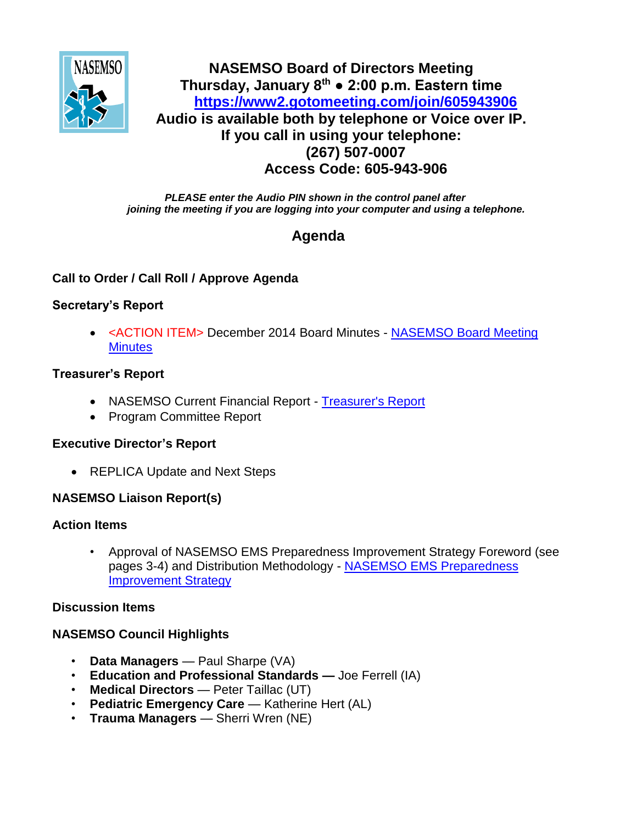

# **NASEMSO Board of Directors Meeting Thursday, January 8th ● 2:00 p.m. Eastern time <https://www2.gotomeeting.com/join/605943906> Audio is available both by telephone or Voice over IP. If you call in using your telephone: (267) 507-0007 Access Code: 605-943-906**

*PLEASE enter the Audio PIN shown in the control panel after joining the meeting if you are logging into your computer and using a telephone.*

# **Agenda**

## **Call to Order / Call Roll / Approve Agenda**

## **Secretary's Report**

• <ACTION ITEM> December 2014 Board Minutes - NASEMSO Board Meeting **[Minutes](https://www.nasemso.org/Members/Board/documents/NASEMSO-Board-Minutes-11-12Dec2014.pdf)** 

### **Treasurer's Report**

- NASEMSO Current Financial Report [Treasurer's Report](https://www.nasemso.org/Members/Board/documents/NASEMSO-SOA-31Dec2014.xls)
- Program Committee Report

#### **Executive Director's Report**

• REPLICA Update and Next Steps

### **NASEMSO Liaison Report(s)**

#### **Action Items**

• Approval of NASEMSO EMS Preparedness Improvement Strategy Foreword (see pages 3-4) and Distribution Methodology - [NASEMSO EMS Preparedness](https://www.nasemso.org/Members/Board/documents/NASEMSO-EMS-Preparedness-Improvement-Strategy-FINAL-Jan2015.pdf)  [Improvement Strategy](https://www.nasemso.org/Members/Board/documents/NASEMSO-EMS-Preparedness-Improvement-Strategy-FINAL-Jan2015.pdf)

### **Discussion Items**

### **NASEMSO Council Highlights**

- **Data Managers**  Paul Sharpe (VA)
- **Education and Professional Standards —** Joe Ferrell (IA)
- **Medical Directors** Peter Taillac (UT)
- **Pediatric Emergency Care** Katherine Hert (AL)
- **Trauma Managers** Sherri Wren (NE)